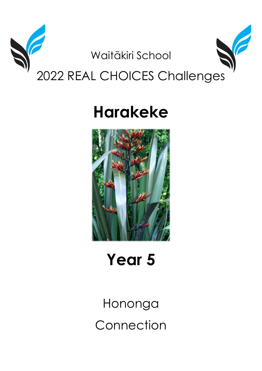

# **Harakeke**



Year 5

Hononga Connection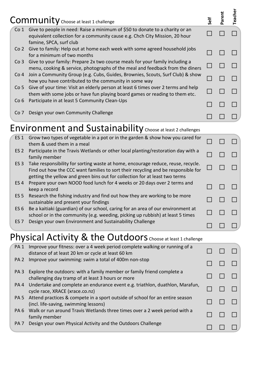| <b>Community</b> Choose at least 1 challenge |                                                                                                                                                                                        | Self | arent | eacher |
|----------------------------------------------|----------------------------------------------------------------------------------------------------------------------------------------------------------------------------------------|------|-------|--------|
| Co 1                                         | Give to people in need: Raise a minimum of \$50 to donate to a charity or an<br>equivalent collection for a community cause e.g. Chch City Mission, 20 hour<br>famine, SPCA, surf club |      |       |        |
| Co 2                                         | Give to family: Help out at home each week with some agreed household jobs<br>for a minimum of two months                                                                              |      |       |        |
| Co 3                                         | Give to your family: Prepare 2x two course meals for your family including a<br>menu, cooking & service, photographs of the meal and feedback from the diners                          |      |       |        |
| Co <sub>4</sub>                              | Join a Community Group (e.g. Cubs, Guides, Brownies, Scouts, Surf Club) & show<br>how you have contributed to the community in some way                                                |      |       |        |
| Co <sub>5</sub>                              | Give of your time: Visit an elderly person at least 6 times over 2 terms and help<br>them with some jobs or have fun playing board games or reading to them etc.                       |      |       |        |
| Co 6                                         | Participate in at least 5 Community Clean-Ups                                                                                                                                          |      |       |        |
| Co 7                                         | Design your own Community Challenge                                                                                                                                                    |      |       |        |

## Environment and Sustainability Choose at least 2 challenges

| ES <sub>1</sub> | Grow two types of vegetable in a pot or in the garden & show how you cared for<br>them & used them in a meal                                                                                                                                         |  |  |
|-----------------|------------------------------------------------------------------------------------------------------------------------------------------------------------------------------------------------------------------------------------------------------|--|--|
| ES 2            | Participate in the Travis Wetlands or other local planting/restoration day with a<br>family member                                                                                                                                                   |  |  |
| ES <sub>3</sub> | Take responsibility for sorting waste at home, encourage reduce, reuse, recycle.<br>Find out how the CCC want families to sort their recycling and be responsible for<br>getting the yellow and green bins out for collection for at least two terms |  |  |
| ES 4            | Prepare your own NOOD food lunch for 4 weeks or 20 days over 2 terms and<br>keep a record                                                                                                                                                            |  |  |
| ES <sub>5</sub> | Research the fishing industry and find out how they are working to be more<br>sustainable and present your findings                                                                                                                                  |  |  |
| ES 6            | Be a kaitiaki (guardian) of our school, caring for an area of our environment at<br>school or in the community (e.g. weeding, picking up rubbish) at least 5 times                                                                                   |  |  |
| ES <sub>7</sub> | Design your own Environment and Sustainability Challenge                                                                                                                                                                                             |  |  |

### Physical Activity & the Outdoors Choose at least 1 challenge

| PA <sub>1</sub> | Improve your fitness: over a 4 week period complete walking or running of a<br>distance of at least 20 km or cycle at least 60 km |  |  |
|-----------------|-----------------------------------------------------------------------------------------------------------------------------------|--|--|
| PA <sub>2</sub> | Improve your swimming: swim a total of 400m non-stop                                                                              |  |  |
| PA <sub>3</sub> | Explore the outdoors: with a family member or family friend complete a<br>challenging day tramp of at least 3 hours or more       |  |  |
| PA <sub>4</sub> | Undertake and complete an endurance event e.g. triathlon, duathlon, Marafun,<br>cycle race, XRACE (xrace.co.nz)                   |  |  |
| PA 5            | Attend practices & compete in a sport outside of school for an entire season<br>(incl. life-saving, swimming lessons)             |  |  |
| PA <sub>6</sub> | Walk or run around Travis Wetlands three times over a 2 week period with a<br>family member                                       |  |  |
| PA <sub>7</sub> | Design your own Physical Activity and the Outdoors Challenge                                                                      |  |  |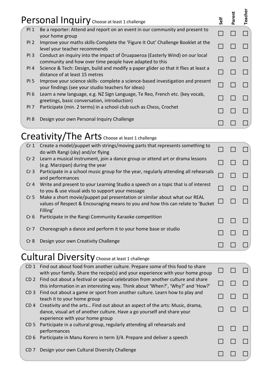|                 | Personal Inquiry Choose at least 1 challenge                                                                                                                             | Self | Parent | Teacher |
|-----------------|--------------------------------------------------------------------------------------------------------------------------------------------------------------------------|------|--------|---------|
| PI <sub>1</sub> | Be a reporter: Attend and report on an event in our community and present to<br>your home group                                                                          |      |        |         |
| PI <sub>2</sub> | Improve your maths skills-Complete the 'Figure It Out' Challenge Booklet at the<br>level your teacher recommends                                                         |      |        |         |
| PI <sub>3</sub> | Conduct an inquiry into the impact of Oruapaeroa (Easterly Wind) on our local<br>community and how over time people have adapted to this                                 |      |        |         |
| PI 4            | Science & Tech: Design, build and modify a paper glider so that it flies at least a<br>distance of at least 15 metres                                                    |      |        |         |
| <b>PI 5</b>     | Improve your science skills- complete a science-based investigation and present<br>your findings (see your studio teachers for ideas)                                    |      |        |         |
| <b>PI6</b>      | Learn a new language, e.g. NZ Sign Language, Te Reo, French etc. (key vocab,<br>greetings, basic conversation, introduction)                                             |      |        |         |
| PI <sub>7</sub> | Participate (min. 2 terms) in a school club such as Chess, Crochet                                                                                                       |      |        |         |
| PI <sub>8</sub> | Design your own Personal Inquiry Challenge                                                                                                                               |      |        |         |
|                 | Creativity/The Arts Choose at least 1 challenge                                                                                                                          |      |        |         |
| Cr <sub>1</sub> | Create a model/puppet with strings/moving parts that represents something to<br>do with Rangi (sky) and/or flying                                                        |      |        |         |
| Cr <sub>2</sub> | Learn a musical instrument, join a dance group or attend art or drama lessons<br>(e.g. Marzipan) during the year                                                         |      |        |         |
| Cr <sub>3</sub> | Participate in a school music group for the year, regularly attending all rehearsals<br>and performances                                                                 |      |        |         |
| Cr <sub>4</sub> | Write and present to your Learning Studio a speech on a topic that is of interest<br>to you & use visual aids to support your message                                    |      |        |         |
| Cr <sub>5</sub> | Make a short movie/puppet pal presentation or similar about what our REAL<br>values of Respect & Encouraging means to you and how this can relate to 'Bucket<br>Filling' |      |        |         |
| Cr <sub>6</sub> | Participate in the Rangi Community Karaoke competition                                                                                                                   |      |        |         |
| Cr <sub>7</sub> | Choreograph a dance and perform it to your home base or studio                                                                                                           |      |        |         |
| Cr <sub>8</sub> | Design your own Creativity Challenge                                                                                                                                     |      |        |         |
|                 | <b>Cultural Diversity</b> Choose at least 1 challenge                                                                                                                    |      |        |         |
| CD <sub>1</sub> | Find out about food from another culture. Prepare some of this food to share<br>with your family. Share the recipe(s) and your experience with your home group           |      |        |         |
| CD <sub>2</sub> | Find out about a festival or special celebration from another culture and share<br>this information in an interesting way. Think about 'When?', 'Why?' and 'How?'        |      |        |         |
| CD <sub>3</sub> | Find out about a game or sport from another culture. Learn how to play and<br>teach it to your home group                                                                |      |        |         |
| CD <sub>4</sub> | Creativity and the arts Find out about an aspect of the arts: Music, drama,<br>dance visual art of another culture. Have a go vourself and share vour                    |      |        |         |

| CD 4 Creativity and the arts Find out about an aspect of the arts: Music, drama, |
|----------------------------------------------------------------------------------|
| dance, visual art of another culture. Have a go yourself and share your          |
| experience with your home group                                                  |

- CD 5 Participate in a cultural group, regularly attending all rehearsals and  $\Box$   $\Box$   $\Box$
- CD 6 Participate in Manu Korero in term 3/4. Prepare and deliver a speech  $\Box$   $\Box$   $\Box$
- CD 7 Design your own Cultural Diversity Challenge  $\Box$   $\Box$   $\Box$